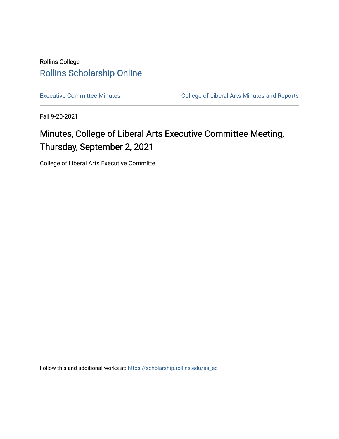# Rollins College [Rollins Scholarship Online](https://scholarship.rollins.edu/)

[Executive Committee Minutes](https://scholarship.rollins.edu/as_ec) **College of Liberal Arts Minutes and Reports** 

Fall 9-20-2021

# Minutes, College of Liberal Arts Executive Committee Meeting, Thursday, September 2, 2021

College of Liberal Arts Executive Committe

Follow this and additional works at: [https://scholarship.rollins.edu/as\\_ec](https://scholarship.rollins.edu/as_ec?utm_source=scholarship.rollins.edu%2Fas_ec%2F230&utm_medium=PDF&utm_campaign=PDFCoverPages)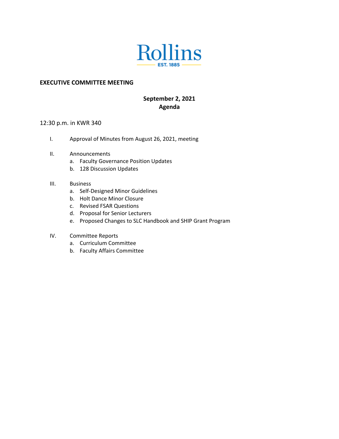

#### **EXECUTIVE COMMITTEE MEETING**

# **September 2, 2021 Agenda**

#### 12:30 p.m. in KWR 340

- I. Approval of Minutes from August 26, 2021, meeting
- II. Announcements
	- a. Faculty Governance Position Updates
	- b. 128 Discussion Updates
- III. Business
	- a. Self-Designed Minor Guidelines
	- b. Holt Dance Minor Closure
	- c. Revised FSAR Questions
	- d. Proposal for Senior Lecturers
	- e. Proposed Changes to SLC Handbook and SHIP Grant Program
- IV. Committee Reports
	- a. Curriculum Committee
	- b. Faculty Affairs Committee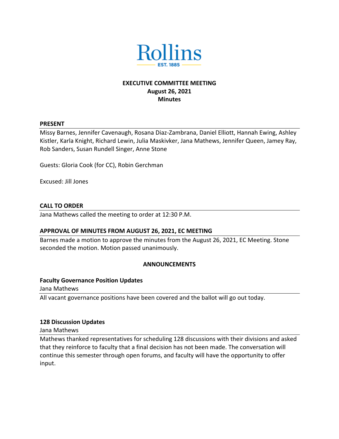

# **EXECUTIVE COMMITTEE MEETING August 26, 2021 Minutes**

#### **PRESENT**

Missy Barnes, Jennifer Cavenaugh, Rosana Diaz-Zambrana, Daniel Elliott, Hannah Ewing, Ashley Kistler, Karla Knight, Richard Lewin, Julia Maskivker, Jana Mathews, Jennifer Queen, Jamey Ray, Rob Sanders, Susan Rundell Singer, Anne Stone

Guests: Gloria Cook (for CC), Robin Gerchman

Excused: Jill Jones

#### **CALL TO ORDER**

Jana Mathews called the meeting to order at 12:30 P.M.

#### **APPROVAL OF MINUTES FROM AUGUST 26, 2021, EC MEETING**

Barnes made a motion to approve the minutes from the August 26, 2021, EC Meeting. Stone seconded the motion. Motion passed unanimously.

#### **ANNOUNCEMENTS**

#### **Faculty Governance Position Updates**

Jana Mathews

All vacant governance positions have been covered and the ballot will go out today.

#### **128 Discussion Updates**

Jana Mathews

Mathews thanked representatives for scheduling 128 discussions with their divisions and asked that they reinforce to faculty that a final decision has not been made. The conversation will continue this semester through open forums, and faculty will have the opportunity to offer input.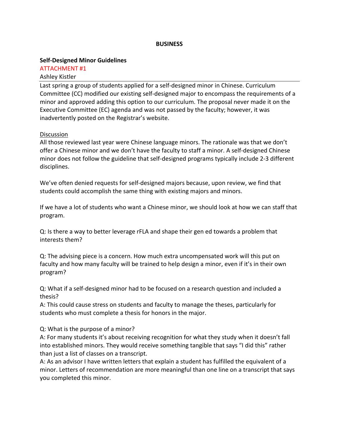#### **BUSINESS**

#### **Self-Designed Minor Guidelines**

ATTACHMENT #1 Ashley Kistler

Last spring a group of students applied for a self-designed minor in Chinese. Curriculum Committee (CC) modified our existing self-designed major to encompass the requirements of a minor and approved adding this option to our curriculum. The proposal never made it on the Executive Committee (EC) agenda and was not passed by the faculty; however, it was inadvertently posted on the Registrar's website.

#### **Discussion**

All those reviewed last year were Chinese language minors. The rationale was that we don't offer a Chinese minor and we don't have the faculty to staff a minor. A self-designed Chinese minor does not follow the guideline that self-designed programs typically include 2-3 different disciplines.

We've often denied requests for self-designed majors because, upon review, we find that students could accomplish the same thing with existing majors and minors.

If we have a lot of students who want a Chinese minor, we should look at how we can staff that program.

Q: Is there a way to better leverage rFLA and shape their gen ed towards a problem that interests them?

Q: The advising piece is a concern. How much extra uncompensated work will this put on faculty and how many faculty will be trained to help design a minor, even if it's in their own program?

Q: What if a self-designed minor had to be focused on a research question and included a thesis?

A: This could cause stress on students and faculty to manage the theses, particularly for students who must complete a thesis for honors in the major.

Q: What is the purpose of a minor?

A: For many students it's about receiving recognition for what they study when it doesn't fall into established minors. They would receive something tangible that says "I did this" rather than just a list of classes on a transcript.

A: As an advisor I have written letters that explain a student has fulfilled the equivalent of a minor. Letters of recommendation are more meaningful than one line on a transcript that says you completed this minor.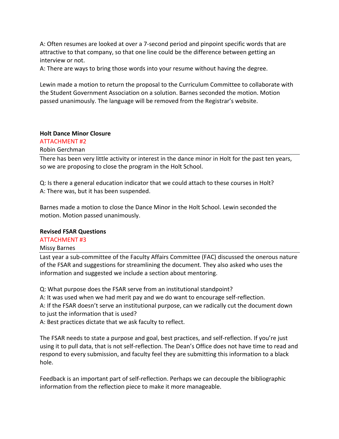A: Often resumes are looked at over a 7-second period and pinpoint specific words that are attractive to that company, so that one line could be the difference between getting an interview or not.

A: There are ways to bring those words into your resume without having the degree.

Lewin made a motion to return the proposal to the Curriculum Committee to collaborate with the Student Government Association on a solution. Barnes seconded the motion. Motion passed unanimously. The language will be removed from the Registrar's website.

#### **Holt Dance Minor Closure**

## ATTACHMENT #2

Robin Gerchman

There has been very little activity or interest in the dance minor in Holt for the past ten years, so we are proposing to close the program in the Holt School.

Q: Is there a general education indicator that we could attach to these courses in Holt? A: There was, but it has been suspended.

Barnes made a motion to close the Dance Minor in the Holt School. Lewin seconded the motion. Motion passed unanimously.

#### **Revised FSAR Questions**

#### ATTACHMENT #3

#### Missy Barnes

Last year a sub-committee of the Faculty Affairs Committee (FAC) discussed the onerous nature of the FSAR and suggestions for streamlining the document. They also asked who uses the information and suggested we include a section about mentoring.

Q: What purpose does the FSAR serve from an institutional standpoint?

A: It was used when we had merit pay and we do want to encourage self-reflection.

A: If the FSAR doesn't serve an institutional purpose, can we radically cut the document down to just the information that is used?

A: Best practices dictate that we ask faculty to reflect.

The FSAR needs to state a purpose and goal, best practices, and self-reflection. If you're just using it to pull data, that is not self-reflection. The Dean's Office does not have time to read and respond to every submission, and faculty feel they are submitting this information to a black hole.

Feedback is an important part of self-reflection. Perhaps we can decouple the bibliographic information from the reflection piece to make it more manageable.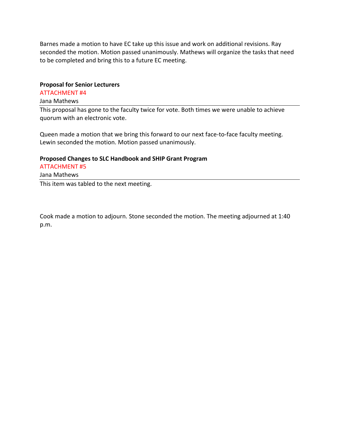Barnes made a motion to have EC take up this issue and work on additional revisions. Ray seconded the motion. Motion passed unanimously. Mathews will organize the tasks that need to be completed and bring this to a future EC meeting.

#### **Proposal for Senior Lecturers**

ATTACHMENT #4

#### Jana Mathews

This proposal has gone to the faculty twice for vote. Both times we were unable to achieve quorum with an electronic vote.

Queen made a motion that we bring this forward to our next face-to-face faculty meeting. Lewin seconded the motion. Motion passed unanimously.

# **Proposed Changes to SLC Handbook and SHIP Grant Program**

ATTACHMENT #5 Jana Mathews This item was tabled to the next meeting.

Cook made a motion to adjourn. Stone seconded the motion. The meeting adjourned at 1:40 p.m.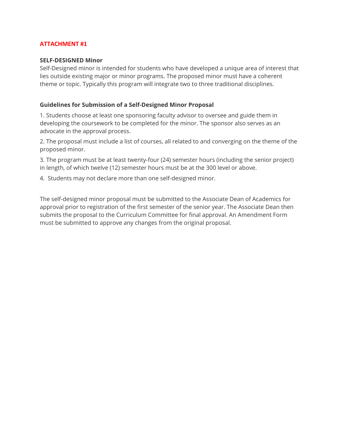#### **SELF-DESIGNED Minor**

Self-Designed minor is intended for students who have developed a unique area of interest that lies outside existing major or minor programs. The proposed minor must have a coherent theme or topic. Typically this program will integrate two to three traditional disciplines.

#### **Guidelines for Submission of a Self-Designed Minor Proposal**

1. Students choose at least one sponsoring faculty advisor to oversee and guide them in developing the coursework to be completed for the minor. The sponsor also serves as an advocate in the approval process.

2. The proposal must include a list of courses, all related to and converging on the theme of the proposed minor.

3. The program must be at least twenty-four (24) semester hours (including the senior project) in length, of which twelve (12) semester hours must be at the 300 level or above.

4. Students may not declare more than one self-designed minor.

The self-designed minor proposal must be submitted to the Associate Dean of Academics for approval prior to registration of the first semester of the senior year. The Associate Dean then submits the proposal to the Curriculum Committee for final approval. An Amendment Form must be submitted to approve any changes from the original proposal.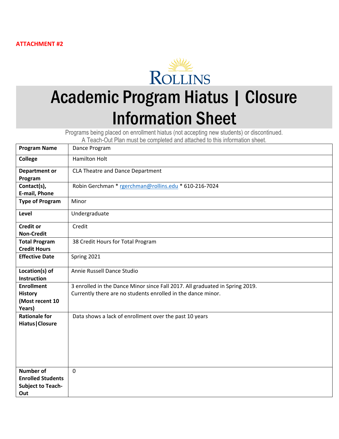

# Academic Program Hiatus | Closure Information Sheet

Programs being placed on enrollment hiatus (not accepting new students) or discontinued.

A Teach-Out Plan must be completed and attached to this information sheet.

| <b>Program Name</b>                                                             | Dance Program                                                                                                                                |
|---------------------------------------------------------------------------------|----------------------------------------------------------------------------------------------------------------------------------------------|
| <b>College</b>                                                                  | <b>Hamilton Holt</b>                                                                                                                         |
| <b>Department or</b><br>Program                                                 | CLA Theatre and Dance Department                                                                                                             |
| Contact(s),<br>E-mail, Phone                                                    | Robin Gerchman * rgerchman@rollins.edu * 610-216-7024                                                                                        |
| <b>Type of Program</b>                                                          | Minor                                                                                                                                        |
| Level                                                                           | Undergraduate                                                                                                                                |
| <b>Credit or</b><br><b>Non-Credit</b>                                           | Credit                                                                                                                                       |
| <b>Total Program</b><br><b>Credit Hours</b>                                     | 38 Credit Hours for Total Program                                                                                                            |
| <b>Effective Date</b>                                                           | Spring 2021                                                                                                                                  |
| Location(s) of<br><b>Instruction</b>                                            | Annie Russell Dance Studio                                                                                                                   |
| <b>Enrollment</b><br><b>History</b><br>(Most recent 10<br>Years)                | 3 enrolled in the Dance Minor since Fall 2017. All graduated in Spring 2019.<br>Currently there are no students enrolled in the dance minor. |
| <b>Rationale for</b><br><b>Hiatus   Closure</b>                                 | Data shows a lack of enrollment over the past 10 years                                                                                       |
| <b>Number of</b><br><b>Enrolled Students</b><br><b>Subject to Teach-</b><br>Out | $\mathbf 0$                                                                                                                                  |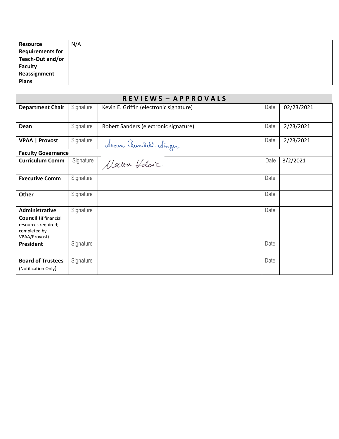| Resource                | N/A |
|-------------------------|-----|
| <b>Requirements for</b> |     |
| Teach-Out and/or        |     |
| <b>Faculty</b>          |     |
| Reassignment            |     |
| <b>Plans</b>            |     |

| <b>REVIEWS-APPROVALS</b>                                                                                      |           |                                         |      |            |
|---------------------------------------------------------------------------------------------------------------|-----------|-----------------------------------------|------|------------|
| <b>Department Chair</b>                                                                                       | Signature | Kevin E. Griffin (electronic signature) | Date | 02/23/2021 |
| Dean                                                                                                          | Signature | Robert Sanders (electronic signature)   | Date | 2/23/2021  |
| <b>VPAA   Provost</b>                                                                                         | Signature | <u> Www. Rundell Winger</u>             | Date | 2/23/2021  |
| <b>Faculty Governance</b>                                                                                     |           |                                         |      |            |
| <b>Curriculum Comm</b>                                                                                        | Signature | Matten Holoic                           | Date | 3/2/2021   |
| <b>Executive Comm</b>                                                                                         | Signature |                                         | Date |            |
| <b>Other</b>                                                                                                  | Signature |                                         | Date |            |
| <b>Administrative</b><br><b>Council</b> (if financial<br>resources required;<br>completed by<br>VPAA/Provost) | Signature |                                         | Date |            |
| President                                                                                                     | Signature |                                         | Date |            |
| <b>Board of Trustees</b><br>(Notification Only)                                                               | Signature |                                         | Date |            |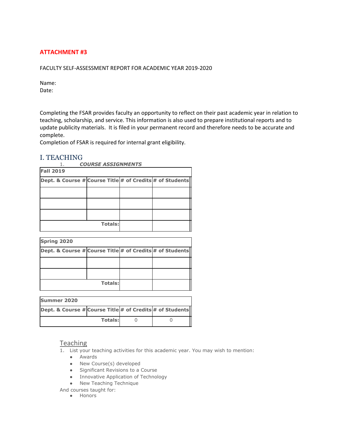#### FACULTY SELF-ASSESSMENT REPORT FOR ACADEMIC YEAR 2019-2020

Name: Date:

Completing the FSAR provides faculty an opportunity to reflect on their past academic year in relation to teaching, scholarship, and service. This information is also used to prepare institutional reports and to update publicity materials. It is filed in your permanent record and therefore needs to be accurate and complete.

Completion of FSAR is required for internal grant eligibility.

## I. TEACHING

| <b>COURSE ASSIGNMENTS</b>                                |                |  |  |  |
|----------------------------------------------------------|----------------|--|--|--|
| <b>Fall 2019</b>                                         |                |  |  |  |
| Dept. & Course # Course Title # of Credits # of Students |                |  |  |  |
|                                                          |                |  |  |  |
|                                                          |                |  |  |  |
|                                                          |                |  |  |  |
|                                                          | <b>Totals:</b> |  |  |  |

| <b>Spring 2020</b>                                       |                |  |
|----------------------------------------------------------|----------------|--|
| Dept. & Course # Course Title # of Credits # of Students |                |  |
|                                                          |                |  |
|                                                          |                |  |
|                                                          | <b>Totals:</b> |  |

| <b>Summer 2020</b>                                                  |                |  |  |  |
|---------------------------------------------------------------------|----------------|--|--|--|
| <b>Dept. &amp; Course # Course Title # of Credits # of Students</b> |                |  |  |  |
|                                                                     | <b>Totals:</b> |  |  |  |

#### **Teaching**

- 1. List your teaching activities for this academic year. You may wish to mention:
	- Awards
	- New Course(s) developed
	- Significant Revisions to a Course
	- Innovative Application of Technology
	- New Teaching Technique

And courses taught for:

● Honors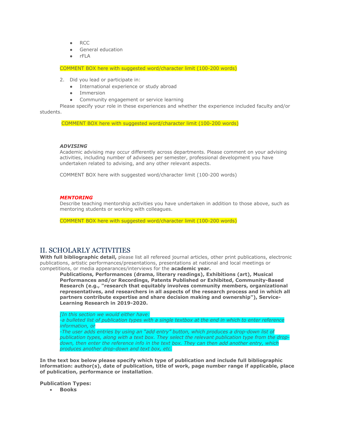- RCC
- General education
- rFLA

COMMENT BOX here with suggested word/character limit (100-200 words)

- 2. Did you lead or participate in:
	- International experience or study abroad
	- Immersion
	- Community engagement or service learning

Please specify your role in these experiences and whether the experience included faculty and/or students.

COMMENT BOX here with suggested word/character limit (100-200 words)

#### *ADVISING*

Academic advising may occur differently across departments. Please comment on your advising activities, including number of advisees per semester, professional development you have undertaken related to advising, and any other relevant aspects.

COMMENT BOX here with suggested word/character limit (100-200 words)

#### *MENTORING*

Describe teaching mentorship activities you have undertaken in addition to those above, such as mentoring students or working with colleagues.

COMMENT BOX here with suggested word/character limit (100-200 words)

#### II. SCHOLARLY ACTIVITIES

**With full bibliographic detail,** please list all refereed journal articles, other print publications, electronic publications, artistic performances/presentations, presentations at national and local meetings or competitions, or media appearances/interviews for the **academic year.**

**Publications, Performances (drama, literary readings), Exhibitions (art), Musical Performances and/or Recordings, Patents Published or Exhibited, Community-Based Research (e.g., "research that equitably involves community members, organizational representatives, and researchers in all aspects of the research process and in which all partners contribute expertise and share decision making and ownership"), Service-Learning Research in 2019-2020.**

*[In this section we would either have:*

*-a bulleted list of publication types with a single textbox at the end in which to enter reference information, or*

*-The user adds entries by using an "add entry" button, which produces a drop-down list of publication types, along with a text box. They select the relevant publication type from the dropdown, then enter the reference info in the text box. They can then add another entry, which produces another drop-down and text box, etc.* 

**In the text box below please specify which type of publication and include full bibliographic information: author(s), date of publication, title of work, page number range if applicable, place of publication, performance or installation**.

**Publication Types:** 

• **Books**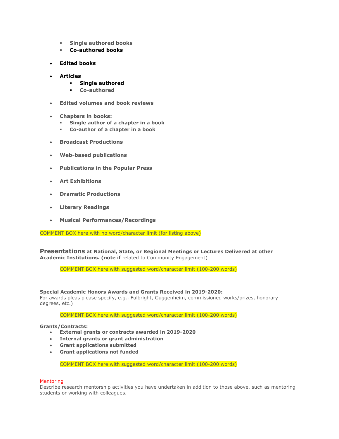- **Single authored books**
- **Co-authored books**
- **Edited books**
- **Articles**
	- **Single authored**
	- **Co-authored**
- **Edited volumes and book reviews**
- **Chapters in books:**
	- **Single author of a chapter in a book**
	- **Co-author of a chapter in a book**
- **Broadcast Productions**
- **Web-based publications**
- **Publications in the Popular Press**
- **Art Exhibitions**
- **Dramatic Productions**
- **Literary Readings**
- **Musical Performances/Recordings**

COMMENT BOX here with no word/character limit (for listing above)

**Presentations at National, State, or Regional Meetings or Lectures Delivered at other Academic Institutions. (note if** related to Community Engagement)

COMMENT BOX here with suggested word/character limit (100-200 words)

**Special Academic Honors Awards and Grants Received in 2019-2020:**

For awards pleas please specify, e.g., Fulbright, Guggenheim, commissioned works/prizes, honorary degrees, etc.)

COMMENT BOX here with suggested word/character limit (100-200 words)

#### **Grants/Contracts:**

- **External grants or contracts awarded in 2019-2020**
- **Internal grants or grant administration**
- **Grant applications submitted**
- **Grant applications not funded**

COMMENT BOX here with suggested word/character limit (100-200 words)

#### **Mentoring**

Describe research mentorship activities you have undertaken in addition to those above, such as mentoring students or working with colleagues.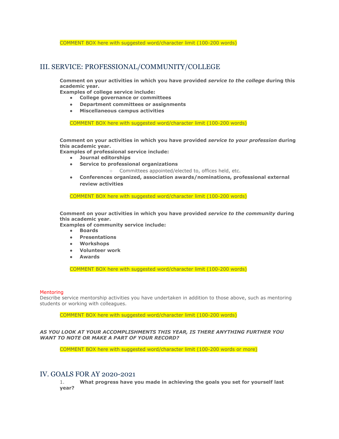COMMENT BOX here with suggested word/character limit (100-200 words)

## III. SERVICE: PROFESSIONAL/COMMUNITY/COLLEGE

**Comment on your activities in which you have provided** *service to the college* **during this academic year.** 

**Examples of college service include:**

- **College governance or committees**
- **Department committees or assignments**
- **Miscellaneous campus activities**

COMMENT BOX here with suggested word/character limit (100-200 words)

**Comment on your activities in which you have provided** *service to your profession* **during this academic year.** 

**Examples of professional service include:**

- **Journal editorships**
- **Service to professional organizations**
	- Committees appointed/elected to, offices held, etc.
- **Conferences organized, association awards/nominations, professional external review activities**

COMMENT BOX here with suggested word/character limit (100-200 words)

**Comment on your activities in which you have provided** *service to the community* **during this academic year.** 

**Examples of community service include:**

- **Boards**
- **Presentations**
- **Workshops**
- **Volunteer work**
- **Awards**

COMMENT BOX here with suggested word/character limit (100-200 words)

#### Mentoring

Describe service mentorship activities you have undertaken in addition to those above, such as mentoring students or working with colleagues.

COMMENT BOX here with suggested word/character limit (100-200 words)

#### *AS YOU LOOK AT YOUR ACCOMPLISHMENTS THIS YEAR, IS THERE ANYTHING FURTHER YOU WANT TO NOTE OR MAKE A PART OF YOUR RECORD?*

COMMENT BOX here with suggested word/character limit (100-200 words or more)

#### IV. GOALS FOR AY 2020-2021

1. **What progress have you made in achieving the goals you set for yourself last year?**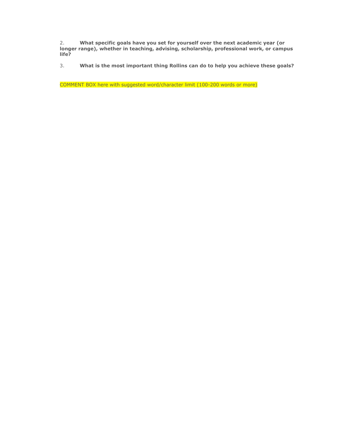2. **What specific goals have you set for yourself over the next academic year (or longer range), whether in teaching, advising, scholarship, professional work, or campus life?**

3. **What is the most important thing Rollins can do to help you achieve these goals?**

COMMENT BOX here with suggested word/character limit (100-200 words or more)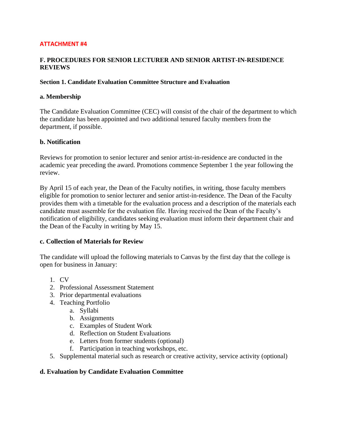## **F. PROCEDURES FOR SENIOR LECTURER AND SENIOR ARTIST-IN-RESIDENCE REVIEWS**

#### **Section 1. Candidate Evaluation Committee Structure and Evaluation**

#### **a. Membership**

The Candidate Evaluation Committee (CEC) will consist of the chair of the department to which the candidate has been appointed and two additional tenured faculty members from the department, if possible.

#### **b. Notification**

Reviews for promotion to senior lecturer and senior artist-in-residence are conducted in the academic year preceding the award. Promotions commence September 1 the year following the review.

By April 15 of each year, the Dean of the Faculty notifies, in writing, those faculty members eligible for promotion to senior lecturer and senior artist-in-residence. The Dean of the Faculty provides them with a timetable for the evaluation process and a description of the materials each candidate must assemble for the evaluation file. Having received the Dean of the Faculty's notification of eligibility, candidates seeking evaluation must inform their department chair and the Dean of the Faculty in writing by May 15.

#### **c. Collection of Materials for Review**

The candidate will upload the following materials to Canvas by the first day that the college is open for business in January:

- 1. CV
- 2. Professional Assessment Statement
- 3. Prior departmental evaluations
- 4. Teaching Portfolio
	- a. Syllabi
	- b. Assignments
	- c. Examples of Student Work
	- d. Reflection on Student Evaluations
	- e. Letters from former students (optional)
	- f. Participation in teaching workshops, etc.
- 5. Supplemental material such as research or creative activity, service activity (optional)

#### **d. Evaluation by Candidate Evaluation Committee**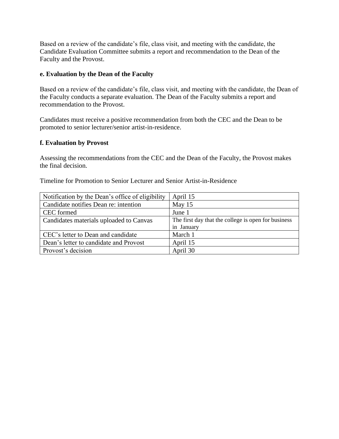Based on a review of the candidate's file, class visit, and meeting with the candidate, the Candidate Evaluation Committee submits a report and recommendation to the Dean of the Faculty and the Provost.

#### **e. Evaluation by the Dean of the Faculty**

Based on a review of the candidate's file, class visit, and meeting with the candidate, the Dean of the Faculty conducts a separate evaluation. The Dean of the Faculty submits a report and recommendation to the Provost.

Candidates must receive a positive recommendation from both the CEC and the Dean to be promoted to senior lecturer/senior artist-in-residence.

## **f. Evaluation by Provost**

Assessing the recommendations from the CEC and the Dean of the Faculty, the Provost makes the final decision.

| Timeline for Promotion to Senior Lecturer and Senior Artist-in-Residence |  |
|--------------------------------------------------------------------------|--|
|--------------------------------------------------------------------------|--|

| Notification by the Dean's office of eligibility | April 15                                            |
|--------------------------------------------------|-----------------------------------------------------|
| Candidate notifies Dean re: intention            | May 15                                              |
| CEC formed                                       | June 1                                              |
| Candidates materials uploaded to Canvas          | The first day that the college is open for business |
|                                                  | in January                                          |
| CEC's letter to Dean and candidate               | March 1                                             |
| Dean's letter to candidate and Provost           | April 15                                            |
| Provost's decision                               | April 30                                            |